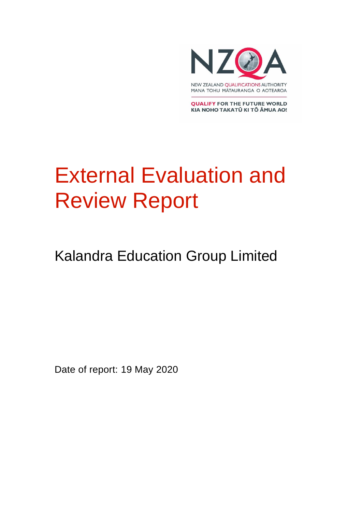

**QUALIFY FOR THE FUTURE WORLD** KIA NOHO TAKATŪ KI TŌ ĀMUA AO!

# External Evaluation and Review Report

# Kalandra Education Group Limited

Date of report: 19 May 2020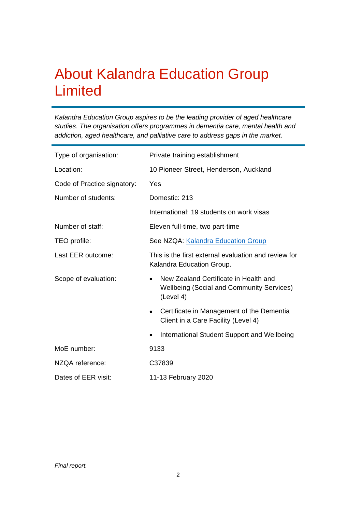## About Kalandra Education Group Limited

*Kalandra Education Group aspires to be the leading provider of aged healthcare studies. The organisation offers programmes in dementia care, mental health and addiction, aged healthcare, and palliative care to address gaps in the market.*

| Type of organisation:       | Private training establishment                                                                                      |
|-----------------------------|---------------------------------------------------------------------------------------------------------------------|
| Location:                   | 10 Pioneer Street, Henderson, Auckland                                                                              |
| Code of Practice signatory: | Yes                                                                                                                 |
| Number of students:         | Domestic: 213                                                                                                       |
|                             | International: 19 students on work visas                                                                            |
| Number of staff:            | Eleven full-time, two part-time                                                                                     |
| TEO profile:                | See NZQA: Kalandra Education Group                                                                                  |
| Last EER outcome:           | This is the first external evaluation and review for<br>Kalandra Education Group.                                   |
| Scope of evaluation:        | New Zealand Certificate in Health and<br>$\bullet$<br><b>Wellbeing (Social and Community Services)</b><br>(Level 4) |
|                             | Certificate in Management of the Dementia<br>Client in a Care Facility (Level 4)                                    |
|                             | International Student Support and Wellbeing<br>$\bullet$                                                            |
| MoE number:                 | 9133                                                                                                                |
| NZQA reference:             | C37839                                                                                                              |
| Dates of EER visit:         | 11-13 February 2020                                                                                                 |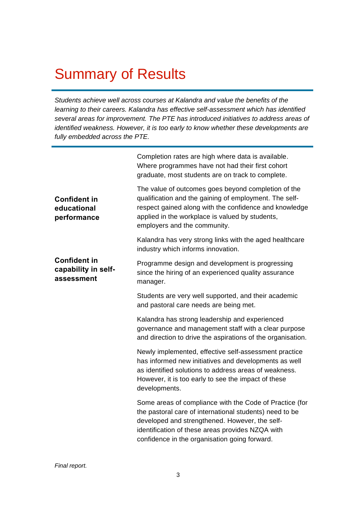# Summary of Results

*Students achieve well across courses at Kalandra and value the benefits of the learning to their careers. Kalandra has effective self-assessment which has identified several areas for improvement. The PTE has introduced initiatives to address areas of identified weakness. However, it is too early to know whether these developments are fully embedded across the PTE.* 

|                                                          | Completion rates are high where data is available.<br>Where programmes have not had their first cohort<br>graduate, most students are on track to complete.                                                                                                               |
|----------------------------------------------------------|---------------------------------------------------------------------------------------------------------------------------------------------------------------------------------------------------------------------------------------------------------------------------|
| <b>Confident in</b><br>educational<br>performance        | The value of outcomes goes beyond completion of the<br>qualification and the gaining of employment. The self-<br>respect gained along with the confidence and knowledge<br>applied in the workplace is valued by students,<br>employers and the community.                |
|                                                          | Kalandra has very strong links with the aged healthcare<br>industry which informs innovation.                                                                                                                                                                             |
| <b>Confident in</b><br>capability in self-<br>assessment | Programme design and development is progressing<br>since the hiring of an experienced quality assurance<br>manager.                                                                                                                                                       |
|                                                          | Students are very well supported, and their academic<br>and pastoral care needs are being met.                                                                                                                                                                            |
|                                                          | Kalandra has strong leadership and experienced<br>governance and management staff with a clear purpose<br>and direction to drive the aspirations of the organisation.                                                                                                     |
|                                                          | Newly implemented, effective self-assessment practice<br>has informed new initiatives and developments as well<br>as identified solutions to address areas of weakness.<br>However, it is too early to see the impact of these<br>developments.                           |
|                                                          | Some areas of compliance with the Code of Practice (for<br>the pastoral care of international students) need to be<br>developed and strengthened. However, the self-<br>identification of these areas provides NZQA with<br>confidence in the organisation going forward. |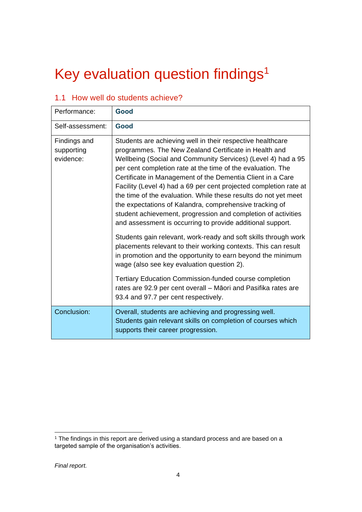# Key evaluation question findings 1

|  |  | 1.1 How well do students achieve? |
|--|--|-----------------------------------|
|  |  |                                   |

| Performance:                            | Good                                                                                                                                                                                                                                                                                                                                                                                                                                                                                                                                                                                                                                                                                                                                                                                                                                                                                                 |
|-----------------------------------------|------------------------------------------------------------------------------------------------------------------------------------------------------------------------------------------------------------------------------------------------------------------------------------------------------------------------------------------------------------------------------------------------------------------------------------------------------------------------------------------------------------------------------------------------------------------------------------------------------------------------------------------------------------------------------------------------------------------------------------------------------------------------------------------------------------------------------------------------------------------------------------------------------|
| Self-assessment:                        | Good                                                                                                                                                                                                                                                                                                                                                                                                                                                                                                                                                                                                                                                                                                                                                                                                                                                                                                 |
| Findings and<br>supporting<br>evidence: | Students are achieving well in their respective healthcare<br>programmes. The New Zealand Certificate in Health and<br>Wellbeing (Social and Community Services) (Level 4) had a 95<br>per cent completion rate at the time of the evaluation. The<br>Certificate in Management of the Dementia Client in a Care<br>Facility (Level 4) had a 69 per cent projected completion rate at<br>the time of the evaluation. While these results do not yet meet<br>the expectations of Kalandra, comprehensive tracking of<br>student achievement, progression and completion of activities<br>and assessment is occurring to provide additional support.<br>Students gain relevant, work-ready and soft skills through work<br>placements relevant to their working contexts. This can result<br>in promotion and the opportunity to earn beyond the minimum<br>wage (also see key evaluation question 2). |
|                                         | <b>Tertiary Education Commission-funded course completion</b><br>rates are 92.9 per cent overall – Māori and Pasifika rates are<br>93.4 and 97.7 per cent respectively.                                                                                                                                                                                                                                                                                                                                                                                                                                                                                                                                                                                                                                                                                                                              |
| Conclusion:                             | Overall, students are achieving and progressing well.<br>Students gain relevant skills on completion of courses which<br>supports their career progression.                                                                                                                                                                                                                                                                                                                                                                                                                                                                                                                                                                                                                                                                                                                                          |

<sup>&</sup>lt;sup>1</sup> The findings in this report are derived using a standard process and are based on a targeted sample of the organisation's activities.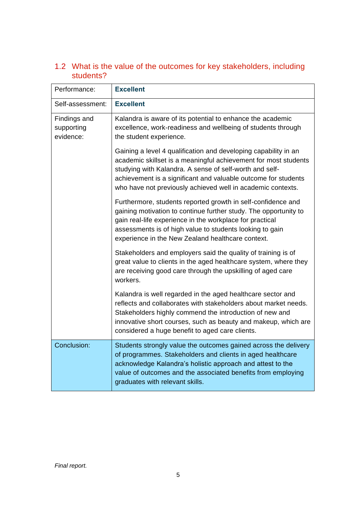| Performance:                            | <b>Excellent</b>                                                                                                                                                                                                                                                                                                               |
|-----------------------------------------|--------------------------------------------------------------------------------------------------------------------------------------------------------------------------------------------------------------------------------------------------------------------------------------------------------------------------------|
| Self-assessment:                        | <b>Excellent</b>                                                                                                                                                                                                                                                                                                               |
| Findings and<br>supporting<br>evidence: | Kalandra is aware of its potential to enhance the academic<br>excellence, work-readiness and wellbeing of students through<br>the student experience.                                                                                                                                                                          |
|                                         | Gaining a level 4 qualification and developing capability in an<br>academic skillset is a meaningful achievement for most students<br>studying with Kalandra. A sense of self-worth and self-<br>achievement is a significant and valuable outcome for students<br>who have not previously achieved well in academic contexts. |
|                                         | Furthermore, students reported growth in self-confidence and<br>gaining motivation to continue further study. The opportunity to<br>gain real-life experience in the workplace for practical<br>assessments is of high value to students looking to gain<br>experience in the New Zealand healthcare context.                  |
|                                         | Stakeholders and employers said the quality of training is of<br>great value to clients in the aged healthcare system, where they<br>are receiving good care through the upskilling of aged care<br>workers.                                                                                                                   |
|                                         | Kalandra is well regarded in the aged healthcare sector and<br>reflects and collaborates with stakeholders about market needs.<br>Stakeholders highly commend the introduction of new and<br>innovative short courses, such as beauty and makeup, which are<br>considered a huge benefit to aged care clients.                 |
| Conclusion:                             | Students strongly value the outcomes gained across the delivery<br>of programmes. Stakeholders and clients in aged healthcare<br>acknowledge Kalandra's holistic approach and attest to the<br>value of outcomes and the associated benefits from employing<br>graduates with relevant skills.                                 |

#### 1.2 What is the value of the outcomes for key stakeholders, including students?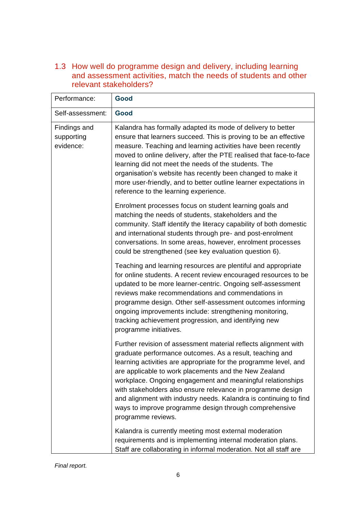1.3 How well do programme design and delivery, including learning and assessment activities, match the needs of students and other relevant stakeholders?

| Performance:                            | Good                                                                                                                                                                                                                                                                                                                                                                                                                                                                                                                                       |
|-----------------------------------------|--------------------------------------------------------------------------------------------------------------------------------------------------------------------------------------------------------------------------------------------------------------------------------------------------------------------------------------------------------------------------------------------------------------------------------------------------------------------------------------------------------------------------------------------|
| Self-assessment:                        | Good                                                                                                                                                                                                                                                                                                                                                                                                                                                                                                                                       |
| Findings and<br>supporting<br>evidence: | Kalandra has formally adapted its mode of delivery to better<br>ensure that learners succeed. This is proving to be an effective<br>measure. Teaching and learning activities have been recently<br>moved to online delivery, after the PTE realised that face-to-face<br>learning did not meet the needs of the students. The<br>organisation's website has recently been changed to make it<br>more user-friendly, and to better outline learner expectations in<br>reference to the learning experience.                                |
|                                         | Enrolment processes focus on student learning goals and<br>matching the needs of students, stakeholders and the<br>community. Staff identify the literacy capability of both domestic<br>and international students through pre- and post-enrolment<br>conversations. In some areas, however, enrolment processes<br>could be strengthened (see key evaluation question 6).                                                                                                                                                                |
|                                         | Teaching and learning resources are plentiful and appropriate<br>for online students. A recent review encouraged resources to be<br>updated to be more learner-centric. Ongoing self-assessment<br>reviews make recommendations and commendations in<br>programme design. Other self-assessment outcomes informing<br>ongoing improvements include: strengthening monitoring,<br>tracking achievement progression, and identifying new<br>programme initiatives.                                                                           |
|                                         | Further revision of assessment material reflects alignment with<br>graduate performance outcomes. As a result, teaching and<br>learning activities are appropriate for the programme level, and<br>are applicable to work placements and the New Zealand<br>workplace. Ongoing engagement and meaningful relationships<br>with stakeholders also ensure relevance in programme design<br>and alignment with industry needs. Kalandra is continuing to find<br>ways to improve programme design through comprehensive<br>programme reviews. |
|                                         | Kalandra is currently meeting most external moderation<br>requirements and is implementing internal moderation plans.<br>Staff are collaborating in informal moderation. Not all staff are                                                                                                                                                                                                                                                                                                                                                 |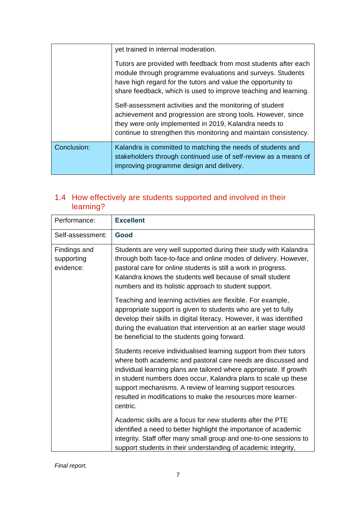|             | yet trained in internal moderation.                                                                                                                                                                                                                              |
|-------------|------------------------------------------------------------------------------------------------------------------------------------------------------------------------------------------------------------------------------------------------------------------|
|             | Tutors are provided with feedback from most students after each<br>module through programme evaluations and surveys. Students<br>have high regard for the tutors and value the opportunity to<br>share feedback, which is used to improve teaching and learning. |
|             | Self-assessment activities and the monitoring of student<br>achievement and progression are strong tools. However, since<br>they were only implemented in 2019, Kalandra needs to<br>continue to strengthen this monitoring and maintain consistency.            |
| Conclusion: | Kalandra is committed to matching the needs of students and<br>stakeholders through continued use of self-review as a means of<br>improving programme design and delivery.                                                                                       |

#### 1.4 How effectively are students supported and involved in their learning?

| Performance:                            | <b>Excellent</b>                                                                                                                                                                                                                                                                                                                                                                                                         |
|-----------------------------------------|--------------------------------------------------------------------------------------------------------------------------------------------------------------------------------------------------------------------------------------------------------------------------------------------------------------------------------------------------------------------------------------------------------------------------|
| Self-assessment:                        | Good                                                                                                                                                                                                                                                                                                                                                                                                                     |
| Findings and<br>supporting<br>evidence: | Students are very well supported during their study with Kalandra<br>through both face-to-face and online modes of delivery. However,<br>pastoral care for online students is still a work in progress.<br>Kalandra knows the students well because of small student<br>numbers and its holistic approach to student support.                                                                                            |
|                                         | Teaching and learning activities are flexible. For example,<br>appropriate support is given to students who are yet to fully<br>develop their skills in digital literacy. However, it was identified<br>during the evaluation that intervention at an earlier stage would<br>be beneficial to the students going forward.                                                                                                |
|                                         | Students receive individualised learning support from their tutors<br>where both academic and pastoral care needs are discussed and<br>individual learning plans are tailored where appropriate. If growth<br>in student numbers does occur, Kalandra plans to scale up these<br>support mechanisms. A review of learning support resources<br>resulted in modifications to make the resources more learner-<br>centric. |
|                                         | Academic skills are a focus for new students after the PTE<br>identified a need to better highlight the importance of academic<br>integrity. Staff offer many small group and one-to-one sessions to<br>support students in their understanding of academic integrity,                                                                                                                                                   |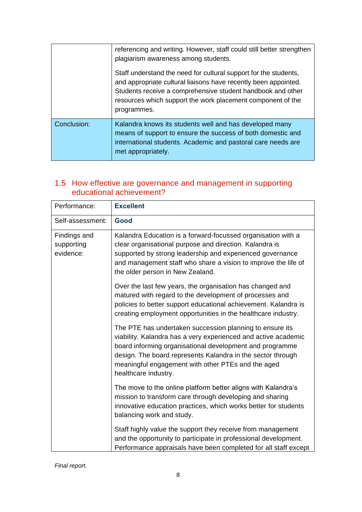|             | referencing and writing. However, staff could still better strengthen<br>plagiarism awareness among students.                                                                                                                                                                    |
|-------------|----------------------------------------------------------------------------------------------------------------------------------------------------------------------------------------------------------------------------------------------------------------------------------|
|             | Staff understand the need for cultural support for the students,<br>and appropriate cultural liaisons have recently been appointed.<br>Students receive a comprehensive student handbook and other<br>resources which support the work placement component of the<br>programmes. |
| Conclusion: | Kalandra knows its students well and has developed many<br>means of support to ensure the success of both domestic and<br>international students. Academic and pastoral care needs are<br>met appropriately.                                                                     |

#### 1.5 How effective are governance and management in supporting educational achievement?

| Performance:                            | <b>Excellent</b>                                                                                                                                                                                                                                                                                                                    |
|-----------------------------------------|-------------------------------------------------------------------------------------------------------------------------------------------------------------------------------------------------------------------------------------------------------------------------------------------------------------------------------------|
| Self-assessment:                        | Good                                                                                                                                                                                                                                                                                                                                |
| Findings and<br>supporting<br>evidence: | Kalandra Education is a forward-focussed organisation with a<br>clear organisational purpose and direction. Kalandra is<br>supported by strong leadership and experienced governance<br>and management staff who share a vision to improve the life of<br>the older person in New Zealand.                                          |
|                                         | Over the last few years, the organisation has changed and<br>matured with regard to the development of processes and<br>policies to better support educational achievement. Kalandra is<br>creating employment opportunities in the healthcare industry.                                                                            |
|                                         | The PTE has undertaken succession planning to ensure its<br>viability. Kalandra has a very experienced and active academic<br>board informing organisational development and programme<br>design. The board represents Kalandra in the sector through<br>meaningful engagement with other PTEs and the aged<br>healthcare industry. |
|                                         | The move to the online platform better aligns with Kalandra's<br>mission to transform care through developing and sharing<br>innovative education practices, which works better for students<br>balancing work and study.                                                                                                           |
|                                         | Staff highly value the support they receive from management<br>and the opportunity to participate in professional development.<br>Performance appraisals have been completed for all staff except                                                                                                                                   |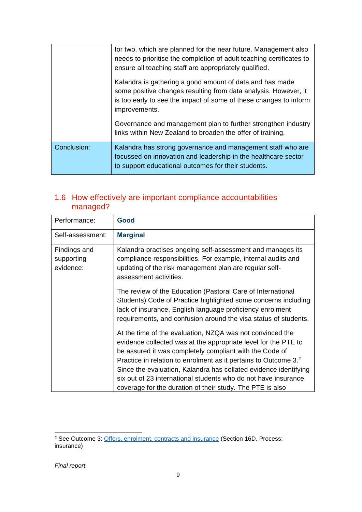|             | for two, which are planned for the near future. Management also<br>needs to prioritise the completion of adult teaching certificates to<br>ensure all teaching staff are appropriately qualified.                 |
|-------------|-------------------------------------------------------------------------------------------------------------------------------------------------------------------------------------------------------------------|
|             | Kalandra is gathering a good amount of data and has made<br>some positive changes resulting from data analysis. However, it<br>is too early to see the impact of some of these changes to inform<br>improvements. |
|             | Governance and management plan to further strengthen industry<br>links within New Zealand to broaden the offer of training.                                                                                       |
| Conclusion: | Kalandra has strong governance and management staff who are<br>focussed on innovation and leadership in the healthcare sector<br>to support educational outcomes for their students.                              |

#### 1.6 How effectively are important compliance accountabilities managed?

| Performance:                            | Good                                                                                                                                                                                                                                                                                                                                                                                                                                                                     |
|-----------------------------------------|--------------------------------------------------------------------------------------------------------------------------------------------------------------------------------------------------------------------------------------------------------------------------------------------------------------------------------------------------------------------------------------------------------------------------------------------------------------------------|
| Self-assessment:                        | <b>Marginal</b>                                                                                                                                                                                                                                                                                                                                                                                                                                                          |
| Findings and<br>supporting<br>evidence: | Kalandra practises ongoing self-assessment and manages its<br>compliance responsibilities. For example, internal audits and<br>updating of the risk management plan are regular self-<br>assessment activities.                                                                                                                                                                                                                                                          |
|                                         | The review of the Education (Pastoral Care of International<br>Students) Code of Practice highlighted some concerns including<br>lack of insurance, English language proficiency enrolment<br>requirements, and confusion around the visa status of students.                                                                                                                                                                                                            |
|                                         | At the time of the evaluation, NZQA was not convinced the<br>evidence collected was at the appropriate level for the PTE to<br>be assured it was completely compliant with the Code of<br>Practice in relation to enrolment as it pertains to Outcome 3. <sup>2</sup><br>Since the evaluation, Kalandra has collated evidence identifying<br>six out of 23 international students who do not have insurance<br>coverage for the duration of their study. The PTE is also |

<sup>&</sup>lt;sup>2</sup> See Outcome 3: [Offers, enrolment, contracts and insurance](https://www.nzqa.govt.nz/assets/Providers-and-partners/Code-of-Practice/guidelines-cop-outcome3.pdf) (Section 16D. Process: insurance)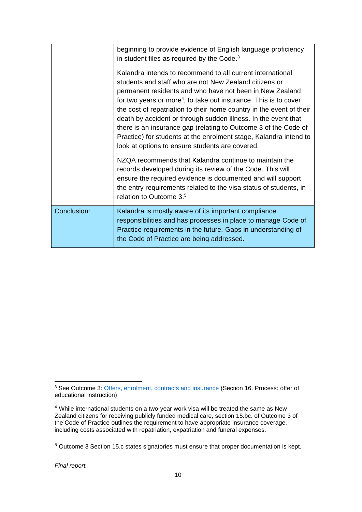|             | beginning to provide evidence of English language proficiency<br>in student files as required by the Code. <sup>3</sup>                                                                                                                                                                                                                                                                                                                                                                                                                                                                               |
|-------------|-------------------------------------------------------------------------------------------------------------------------------------------------------------------------------------------------------------------------------------------------------------------------------------------------------------------------------------------------------------------------------------------------------------------------------------------------------------------------------------------------------------------------------------------------------------------------------------------------------|
|             | Kalandra intends to recommend to all current international<br>students and staff who are not New Zealand citizens or<br>permanent residents and who have not been in New Zealand<br>for two years or more <sup>4</sup> , to take out insurance. This is to cover<br>the cost of repatriation to their home country in the event of their<br>death by accident or through sudden illness. In the event that<br>there is an insurance gap (relating to Outcome 3 of the Code of<br>Practice) for students at the enrolment stage, Kalandra intend to<br>look at options to ensure students are covered. |
|             | NZQA recommends that Kalandra continue to maintain the<br>records developed during its review of the Code. This will<br>ensure the required evidence is documented and will support<br>the entry requirements related to the visa status of students, in<br>relation to Outcome 3.5                                                                                                                                                                                                                                                                                                                   |
| Conclusion: | Kalandra is mostly aware of its important compliance<br>responsibilities and has processes in place to manage Code of<br>Practice requirements in the future. Gaps in understanding of<br>the Code of Practice are being addressed.                                                                                                                                                                                                                                                                                                                                                                   |

<sup>&</sup>lt;sup>3</sup> See Outcome 3: [Offers, enrolment, contracts and insurance](https://www.nzqa.govt.nz/assets/Providers-and-partners/Code-of-Practice/guidelines-cop-outcome3.pdf) (Section 16. Process: offer of educational instruction)

<sup>4</sup> While international students on a two-year work visa will be treated the same as New Zealand citizens for receiving publicly funded medical care, section 15.bc. of Outcome 3 of the Code of Practice outlines the requirement to have appropriate insurance coverage, including costs associated with repatriation, expatriation and funeral expenses.

<sup>5</sup> Outcome 3 Section 15.c states signatories must ensure that proper documentation is kept.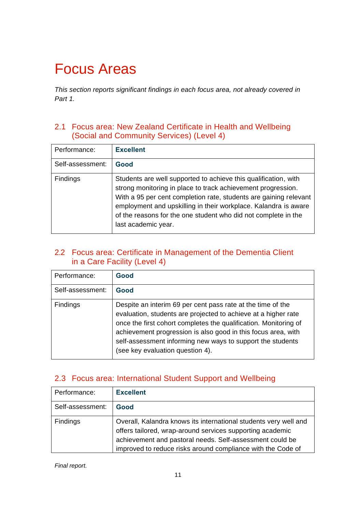# Focus Areas

*This section reports significant findings in each focus area, not already covered in Part 1.* 

#### 2.1 Focus area: New Zealand Certificate in Health and Wellbeing (Social and Community Services) (Level 4)

| Performance:     | <b>Excellent</b>                                                                                                                                                                                                                                                                                                                                                 |
|------------------|------------------------------------------------------------------------------------------------------------------------------------------------------------------------------------------------------------------------------------------------------------------------------------------------------------------------------------------------------------------|
| Self-assessment: | Good                                                                                                                                                                                                                                                                                                                                                             |
| Findings         | Students are well supported to achieve this qualification, with<br>strong monitoring in place to track achievement progression.<br>With a 95 per cent completion rate, students are gaining relevant<br>employment and upskilling in their workplace. Kalandra is aware<br>of the reasons for the one student who did not complete in the<br>last academic year. |

#### 2.2 Focus area: Certificate in Management of the Dementia Client in a Care Facility (Level 4)

| Performance:     | Good                                                                                                                                                                                                                                                                                                                                                                 |
|------------------|----------------------------------------------------------------------------------------------------------------------------------------------------------------------------------------------------------------------------------------------------------------------------------------------------------------------------------------------------------------------|
| Self-assessment: | Good                                                                                                                                                                                                                                                                                                                                                                 |
| Findings         | Despite an interim 69 per cent pass rate at the time of the<br>evaluation, students are projected to achieve at a higher rate<br>once the first cohort completes the qualification. Monitoring of<br>achievement progression is also good in this focus area, with<br>self-assessment informing new ways to support the students<br>(see key evaluation question 4). |

#### 2.3 Focus area: International Student Support and Wellbeing

| Performance:     | <b>Excellent</b>                                                                                                                                                                                                                                         |
|------------------|----------------------------------------------------------------------------------------------------------------------------------------------------------------------------------------------------------------------------------------------------------|
| Self-assessment: | Good                                                                                                                                                                                                                                                     |
| <b>Findings</b>  | Overall, Kalandra knows its international students very well and<br>offers tailored, wrap-around services supporting academic<br>achievement and pastoral needs. Self-assessment could be<br>improved to reduce risks around compliance with the Code of |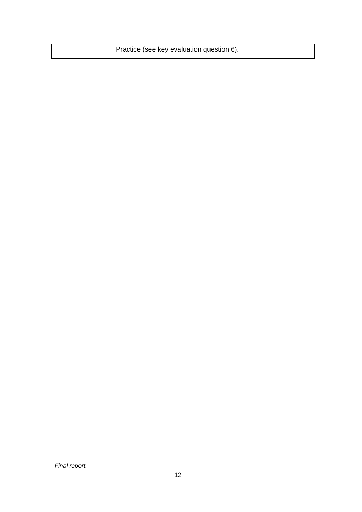| Practice (see key evaluation question 6). |
|-------------------------------------------|
|-------------------------------------------|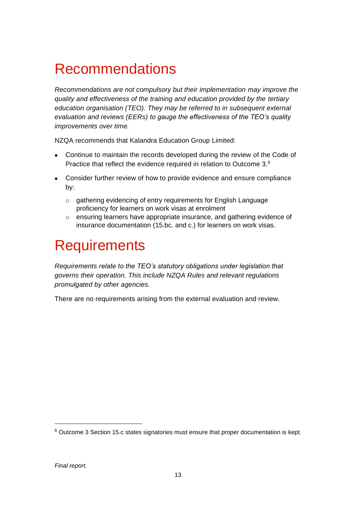# Recommendations

*Recommendations are not compulsory but their implementation may improve the quality and effectiveness of the training and education provided by the tertiary education organisation (TEO). They may be referred to in subsequent external evaluation and reviews (EERs) to gauge the effectiveness of the TEO's quality improvements over time.*

NZQA recommends that Kalandra Education Group Limited:

- Continue to maintain the records developed during the review of the Code of Practice that reflect the evidence required in relation to Outcome 3.<sup>6</sup>
- Consider further review of how to provide evidence and ensure compliance by:
	- o gathering evidencing of entry requirements for English Language proficiency for learners on work visas at enrolment
	- o ensuring learners have appropriate insurance, and gathering evidence of insurance documentation (15.bc. and c.) for learners on work visas.

### **Requirements**

*Requirements relate to the TEO's statutory obligations under legislation that governs their operation. This include NZQA Rules and relevant regulations promulgated by other agencies.*

There are no requirements arising from the external evaluation and review.

<sup>6</sup> Outcome 3 Section 15.c states signatories must ensure that proper documentation is kept.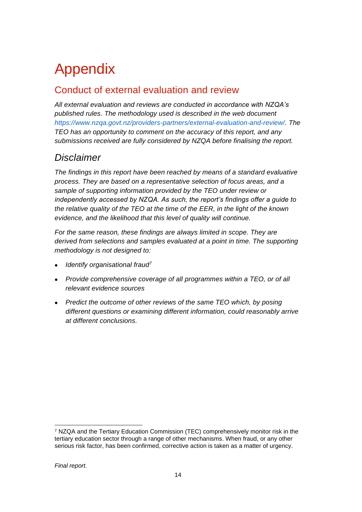# Appendix

#### Conduct of external evaluation and review

*All external evaluation and reviews are conducted in accordance with NZQA's published rules. The methodology used is described in the web document [https://www.nzqa.govt.nz/providers-partners/external-evaluation-and-review/.](https://www.nzqa.govt.nz/providers-partners/external-evaluation-and-review/) The TEO has an opportunity to comment on the accuracy of this report, and any submissions received are fully considered by NZQA before finalising the report.*

#### *Disclaimer*

*The findings in this report have been reached by means of a standard evaluative process. They are based on a representative selection of focus areas, and a sample of supporting information provided by the TEO under review or independently accessed by NZQA. As such, the report's findings offer a guide to the relative quality of the TEO at the time of the EER, in the light of the known evidence, and the likelihood that this level of quality will continue.* 

*For the same reason, these findings are always limited in scope. They are derived from selections and samples evaluated at a point in time. The supporting methodology is not designed to:*

- *Identify organisational fraud<sup>7</sup>*
- *Provide comprehensive coverage of all programmes within a TEO, or of all relevant evidence sources*
- *Predict the outcome of other reviews of the same TEO which, by posing different questions or examining different information, could reasonably arrive at different conclusions.*

<sup>7</sup> NZQA and the Tertiary Education Commission (TEC) comprehensively monitor risk in the tertiary education sector through a range of other mechanisms. When fraud, or any other serious risk factor, has been confirmed, corrective action is taken as a matter of urgency.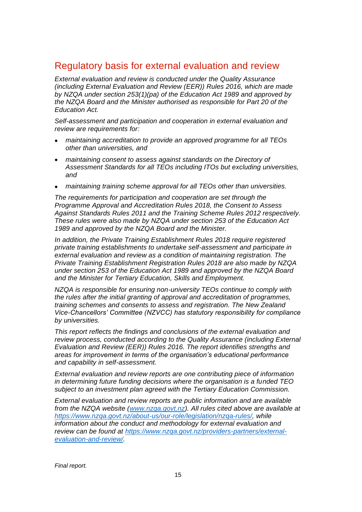#### Regulatory basis for external evaluation and review

*External evaluation and review is conducted under the Quality Assurance (including External Evaluation and Review (EER)) Rules 2016, which are made by NZQA under section 253(1)(pa) of the Education Act 1989 and approved by the NZQA Board and the Minister authorised as responsible for Part 20 of the Education Act.*

*Self-assessment and participation and cooperation in external evaluation and review are requirements for:*

- *maintaining accreditation to provide an approved programme for all TEOs other than universities, and*
- *maintaining consent to assess against standards on the Directory of Assessment Standards for all TEOs including ITOs but excluding universities, and*
- *maintaining training scheme approval for all TEOs other than universities.*

*The requirements for participation and cooperation are set through the Programme Approval and Accreditation Rules 2018, the Consent to Assess Against Standards Rules 2011 and the Training Scheme Rules 2012 respectively. These rules were also made by NZQA under section 253 of the Education Act 1989 and approved by the NZQA Board and the Minister.*

*In addition, the Private Training Establishment Rules 2018 require registered private training establishments to undertake self-assessment and participate in external evaluation and review as a condition of maintaining registration. The Private Training Establishment Registration Rules 2018 are also made by NZQA under section 253 of the Education Act 1989 and approved by the NZQA Board and the Minister for Tertiary Education, Skills and Employment.* 

*NZQA is responsible for ensuring non-university TEOs continue to comply with the rules after the initial granting of approval and accreditation of programmes, training schemes and consents to assess and registration. The New Zealand Vice-Chancellors' Committee (NZVCC) has statutory responsibility for compliance by universities.* 

*This report reflects the findings and conclusions of the external evaluation and review process, conducted according to the Quality Assurance (including External Evaluation and Review (EER)) Rules 2016. The report identifies strengths and areas for improvement in terms of the organisation's educational performance and capability in self-assessment.*

*External evaluation and review reports are one contributing piece of information in determining future funding decisions where the organisation is a funded TEO subject to an investment plan agreed with the Tertiary Education Commission.* 

*External evaluation and review reports are public information and are available from the NZQA website [\(www.nzqa.govt.nz\)](http://www.nzqa.govt.nz/). All rules cited above are available at [https://www.nzqa.govt.nz/about-us/our-role/legislation/nzqa-rules/,](https://www.nzqa.govt.nz/about-us/our-role/legislation/nzqa-rules/) while information about the conduct and methodology for external evaluation and review can be found at [https://www.nzqa.govt.nz/providers-partners/external](https://www.nzqa.govt.nz/providers-partners/external-evaluation-and-review/)[evaluation-and-review/.](https://www.nzqa.govt.nz/providers-partners/external-evaluation-and-review/)*